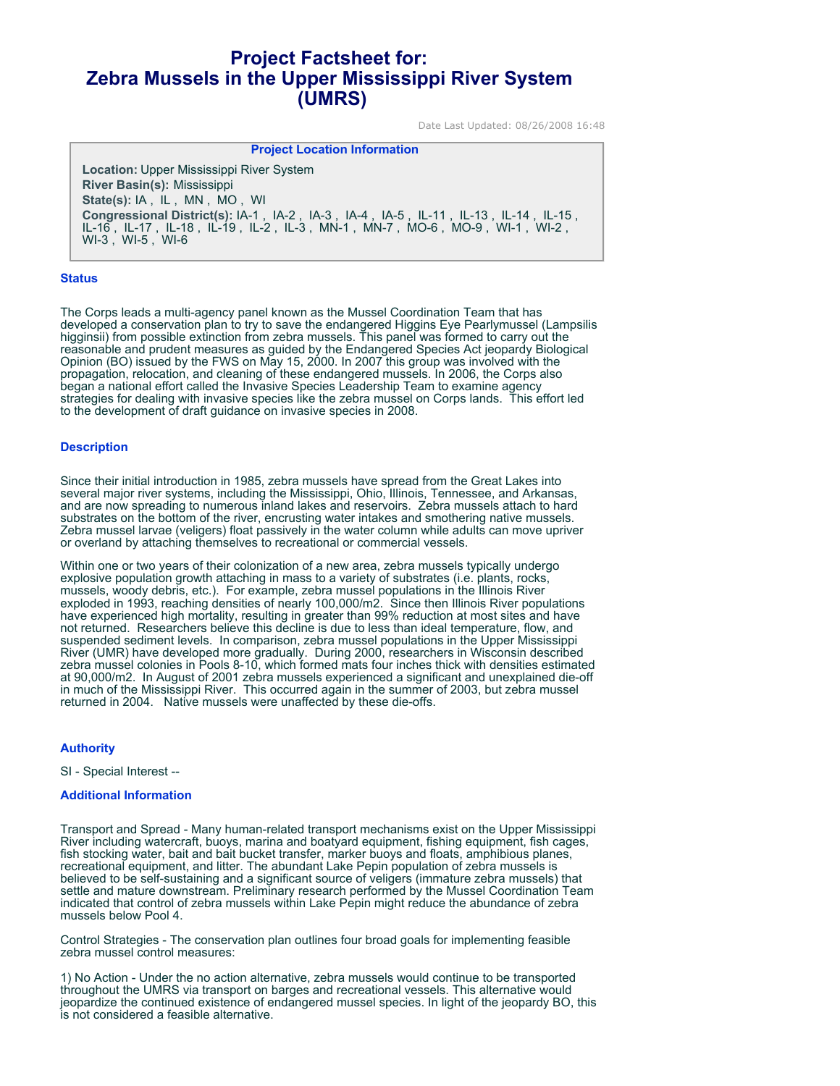# **Project Factsheet for: Zebra Mussels in the Upper Mississippi River System (UMRS)**

Date Last Updated: 08/26/2008 16:48

**Project Location Information** 

**Location:** Upper Mississippi River System **River Basin(s):** Mississippi **State(s):** IA , IL , MN , MO , WI **Congressional District(s):** IA-1 , IA-2 , IA-3 , IA-4 , IA-5 , IL-11 , IL-13 , IL-14 , IL-15 , IL-16 , IL-17 , IL-18 , IL-19 , IL-2 , IL-3 , MN-1 , MN-7 , MO-6 , MO-9 , WI-1 , WI-2 , WI-3 , WI-5 , WI-6

# **Status**

The Corps leads a multi-agency panel known as the Mussel Coordination Team that has developed a conservation plan to try to save the endangered Higgins Eye Pearlymussel (Lampsilis higginsii) from possible extinction from zebra mussels. This panel was formed to carry out the reasonable and prudent measures as guided by the Endangered Species Act jeopardy Biological Opinion (BO) issued by the FWS on May 15, 2000. In 2007 this group was involved with the propagation, relocation, and cleaning of these endangered mussels. In 2006, the Corps also began a national effort called the Invasive Species Leadership Team to examine agency strategies for dealing with invasive species like the zebra mussel on Corps lands. This effort led to the development of draft guidance on invasive species in 2008.

# **Description**

Since their initial introduction in 1985, zebra mussels have spread from the Great Lakes into several major river systems, including the Mississippi, Ohio, Illinois, Tennessee, and Arkansas, and are now spreading to numerous inland lakes and reservoirs. Zebra mussels attach to hard substrates on the bottom of the river, encrusting water intakes and smothering native mussels. Zebra mussel larvae (veligers) float passively in the water column while adults can move upriver or overland by attaching themselves to recreational or commercial vessels.

Within one or two years of their colonization of a new area, zebra mussels typically undergo explosive population growth attaching in mass to a variety of substrates (i.e. plants, rocks, mussels, woody debris, etc.). For example, zebra mussel populations in the Illinois River exploded in 1993, reaching densities of nearly 100,000/m2. Since then Illinois River populations have experienced high mortality, resulting in greater than 99% reduction at most sites and have not returned. Researchers believe this decline is due to less than ideal temperature, flow, and suspended sediment levels. In comparison, zebra mussel populations in the Upper Mississippi River (UMR) have developed more gradually. During 2000, researchers in Wisconsin described zebra mussel colonies in Pools 8-10, which formed mats four inches thick with densities estimated at 90,000/m2. In August of 2001 zebra mussels experienced a significant and unexplained die-off in much of the Mississippi River. This occurred again in the summer of 2003, but zebra mussel returned in 2004. Native mussels were unaffected by these die-offs.

### **Authority**

SI - Special Interest --

### **Additional Information**

Transport and Spread - Many human-related transport mechanisms exist on the Upper Mississippi River including watercraft, buoys, marina and boatyard equipment, fishing equipment, fish cages, fish stocking water, bait and bait bucket transfer, marker buoys and floats, amphibious planes, recreational equipment, and litter. The abundant Lake Pepin population of zebra mussels is believed to be self-sustaining and a significant source of veligers (immature zebra mussels) that settle and mature downstream. Preliminary research performed by the Mussel Coordination Team indicated that control of zebra mussels within Lake Pepin might reduce the abundance of zebra mussels below Pool 4.

Control Strategies - The conservation plan outlines four broad goals for implementing feasible zebra mussel control measures:

1) No Action - Under the no action alternative, zebra mussels would continue to be transported throughout the UMRS via transport on barges and recreational vessels. This alternative would jeopardize the continued existence of endangered mussel species. In light of the jeopardy BO, this is not considered a feasible alternative.